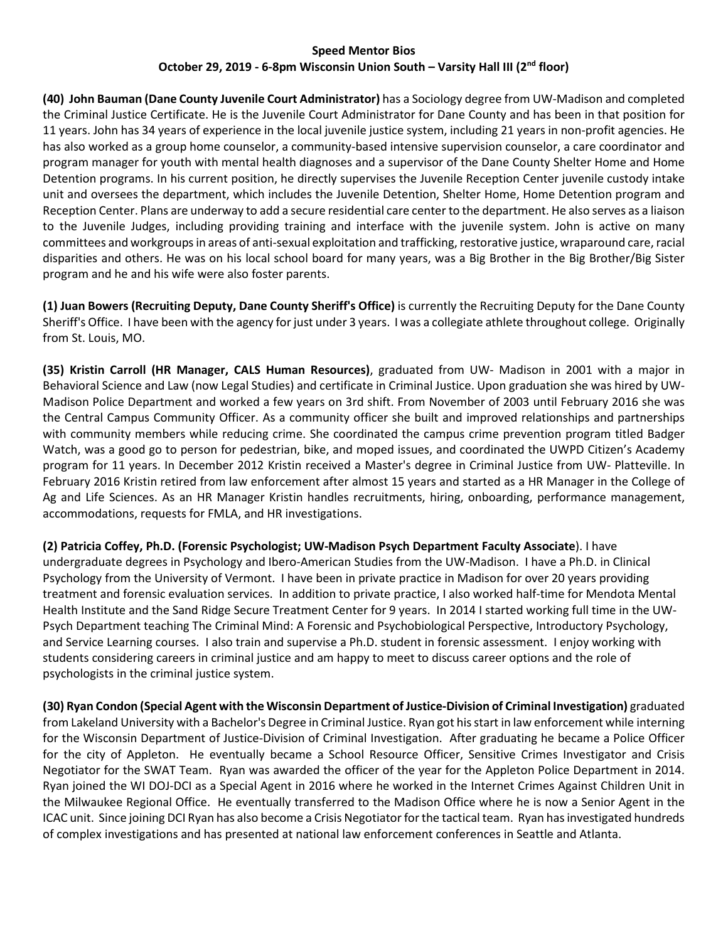## **Speed Mentor Bios October 29, 2019 - 6-8pm Wisconsin Union South – Varsity Hall III (2nd floor)**

**(40) John Bauman (Dane County Juvenile Court Administrator)** has a Sociology degree from UW-Madison and completed the Criminal Justice Certificate. He is the Juvenile Court Administrator for Dane County and has been in that position for 11 years. John has 34 years of experience in the local juvenile justice system, including 21 years in non-profit agencies. He has also worked as a group home counselor, a community-based intensive supervision counselor, a care coordinator and program manager for youth with mental health diagnoses and a supervisor of the Dane County Shelter Home and Home Detention programs. In his current position, he directly supervises the Juvenile Reception Center juvenile custody intake unit and oversees the department, which includes the Juvenile Detention, Shelter Home, Home Detention program and Reception Center. Plans are underway to add a secure residential care center to the department. He also serves as a liaison to the Juvenile Judges, including providing training and interface with the juvenile system. John is active on many committees and workgroups in areas of anti-sexual exploitation and trafficking, restorative justice, wraparound care, racial disparities and others. He was on his local school board for many years, was a Big Brother in the Big Brother/Big Sister program and he and his wife were also foster parents.

**(1) Juan Bowers (Recruiting Deputy, Dane County Sheriff's Office)** is currently the Recruiting Deputy for the Dane County Sheriff's Office. I have been with the agency for just under 3 years. I was a collegiate athlete throughout college. Originally from St. Louis, MO.

**(35) Kristin Carroll (HR Manager, CALS Human Resources)**, graduated from UW- Madison in 2001 with a major in Behavioral Science and Law (now Legal Studies) and certificate in Criminal Justice. Upon graduation she was hired by UW-Madison Police Department and worked a few years on 3rd shift. From November of 2003 until February 2016 she was the Central Campus Community Officer. As a community officer she built and improved relationships and partnerships with community members while reducing crime. She coordinated the campus crime prevention program titled Badger Watch, was a good go to person for pedestrian, bike, and moped issues, and coordinated the UWPD Citizen's Academy program for 11 years. In December 2012 Kristin received a Master's degree in Criminal Justice from UW- Platteville. In February 2016 Kristin retired from law enforcement after almost 15 years and started as a HR Manager in the College of Ag and Life Sciences. As an HR Manager Kristin handles recruitments, hiring, onboarding, performance management, accommodations, requests for FMLA, and HR investigations.

**(2) Patricia Coffey, Ph.D. (Forensic Psychologist; UW-Madison Psych Department Faculty Associate**). I have undergraduate degrees in Psychology and Ibero-American Studies from the UW-Madison. I have a Ph.D. in Clinical Psychology from the University of Vermont. I have been in private practice in Madison for over 20 years providing treatment and forensic evaluation services. In addition to private practice, I also worked half-time for Mendota Mental Health Institute and the Sand Ridge Secure Treatment Center for 9 years. In 2014 I started working full time in the UW-Psych Department teaching The Criminal Mind: A Forensic and Psychobiological Perspective, Introductory Psychology, and Service Learning courses. I also train and supervise a Ph.D. student in forensic assessment. I enjoy working with students considering careers in criminal justice and am happy to meet to discuss career options and the role of psychologists in the criminal justice system.

**(30) Ryan Condon (Special Agent with the Wisconsin Department of Justice-Division of Criminal Investigation)** graduated from Lakeland University with a Bachelor's Degree in Criminal Justice. Ryan got his start in law enforcement while interning for the Wisconsin Department of Justice-Division of Criminal Investigation. After graduating he became a Police Officer for the city of Appleton. He eventually became a School Resource Officer, Sensitive Crimes Investigator and Crisis Negotiator for the SWAT Team. Ryan was awarded the officer of the year for the Appleton Police Department in 2014. Ryan joined the WI DOJ-DCI as a Special Agent in 2016 where he worked in the Internet Crimes Against Children Unit in the Milwaukee Regional Office. He eventually transferred to the Madison Office where he is now a Senior Agent in the ICAC unit. Since joining DCI Ryan has also become a Crisis Negotiator for the tactical team. Ryan has investigated hundreds of complex investigations and has presented at national law enforcement conferences in Seattle and Atlanta.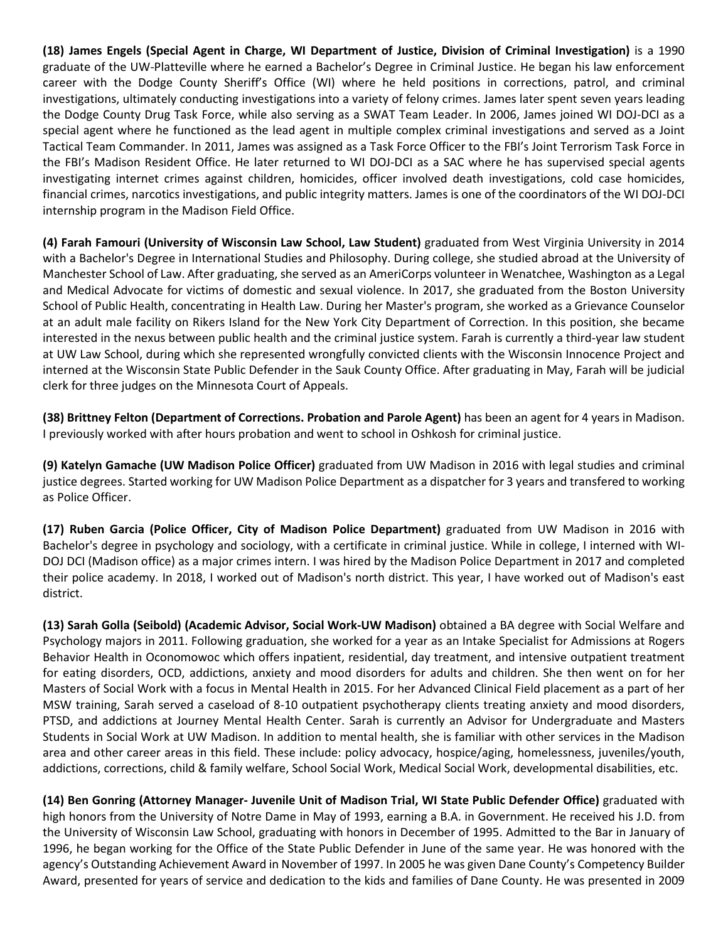**(18) James Engels (Special Agent in Charge, WI Department of Justice, Division of Criminal Investigation)** is a 1990 graduate of the UW-Platteville where he earned a Bachelor's Degree in Criminal Justice. He began his law enforcement career with the Dodge County Sheriff's Office (WI) where he held positions in corrections, patrol, and criminal investigations, ultimately conducting investigations into a variety of felony crimes. James later spent seven years leading the Dodge County Drug Task Force, while also serving as a SWAT Team Leader. In 2006, James joined WI DOJ-DCI as a special agent where he functioned as the lead agent in multiple complex criminal investigations and served as a Joint Tactical Team Commander. In 2011, James was assigned as a Task Force Officer to the FBI's Joint Terrorism Task Force in the FBI's Madison Resident Office. He later returned to WI DOJ-DCI as a SAC where he has supervised special agents investigating internet crimes against children, homicides, officer involved death investigations, cold case homicides, financial crimes, narcotics investigations, and public integrity matters. James is one of the coordinators of the WI DOJ-DCI internship program in the Madison Field Office.

**(4) Farah Famouri (University of Wisconsin Law School, Law Student)** graduated from West Virginia University in 2014 with a Bachelor's Degree in International Studies and Philosophy. During college, she studied abroad at the University of Manchester School of Law. After graduating, she served as an AmeriCorps volunteer in Wenatchee, Washington as a Legal and Medical Advocate for victims of domestic and sexual violence. In 2017, she graduated from the Boston University School of Public Health, concentrating in Health Law. During her Master's program, she worked as a Grievance Counselor at an adult male facility on Rikers Island for the New York City Department of Correction. In this position, she became interested in the nexus between public health and the criminal justice system. Farah is currently a third-year law student at UW Law School, during which she represented wrongfully convicted clients with the Wisconsin Innocence Project and interned at the Wisconsin State Public Defender in the Sauk County Office. After graduating in May, Farah will be judicial clerk for three judges on the Minnesota Court of Appeals.

**(38) Brittney Felton (Department of Corrections. Probation and Parole Agent)** has been an agent for 4 years in Madison. I previously worked with after hours probation and went to school in Oshkosh for criminal justice.

**(9) Katelyn Gamache (UW Madison Police Officer)** graduated from UW Madison in 2016 with legal studies and criminal justice degrees. Started working for UW Madison Police Department as a dispatcher for 3 years and transfered to working as Police Officer.

**(17) Ruben Garcia (Police Officer, City of Madison Police Department)** graduated from UW Madison in 2016 with Bachelor's degree in psychology and sociology, with a certificate in criminal justice. While in college, I interned with WI-DOJ DCI (Madison office) as a major crimes intern. I was hired by the Madison Police Department in 2017 and completed their police academy. In 2018, I worked out of Madison's north district. This year, I have worked out of Madison's east district.

**(13) Sarah Golla (Seibold) (Academic Advisor, Social Work-UW Madison)** obtained a BA degree with Social Welfare and Psychology majors in 2011. Following graduation, she worked for a year as an Intake Specialist for Admissions at Rogers Behavior Health in Oconomowoc which offers inpatient, residential, day treatment, and intensive outpatient treatment for eating disorders, OCD, addictions, anxiety and mood disorders for adults and children. She then went on for her Masters of Social Work with a focus in Mental Health in 2015. For her Advanced Clinical Field placement as a part of her MSW training, Sarah served a caseload of 8-10 outpatient psychotherapy clients treating anxiety and mood disorders, PTSD, and addictions at Journey Mental Health Center. Sarah is currently an Advisor for Undergraduate and Masters Students in Social Work at UW Madison. In addition to mental health, she is familiar with other services in the Madison area and other career areas in this field. These include: policy advocacy, hospice/aging, homelessness, juveniles/youth, addictions, corrections, child & family welfare, School Social Work, Medical Social Work, developmental disabilities, etc.

**(14) Ben Gonring (Attorney Manager- Juvenile Unit of Madison Trial, WI State Public Defender Office)** graduated with high honors from the University of Notre Dame in May of 1993, earning a B.A. in Government. He received his J.D. from the University of Wisconsin Law School, graduating with honors in December of 1995. Admitted to the Bar in January of 1996, he began working for the Office of the State Public Defender in June of the same year. He was honored with the agency's Outstanding Achievement Award in November of 1997. In 2005 he was given Dane County's Competency Builder Award, presented for years of service and dedication to the kids and families of Dane County. He was presented in 2009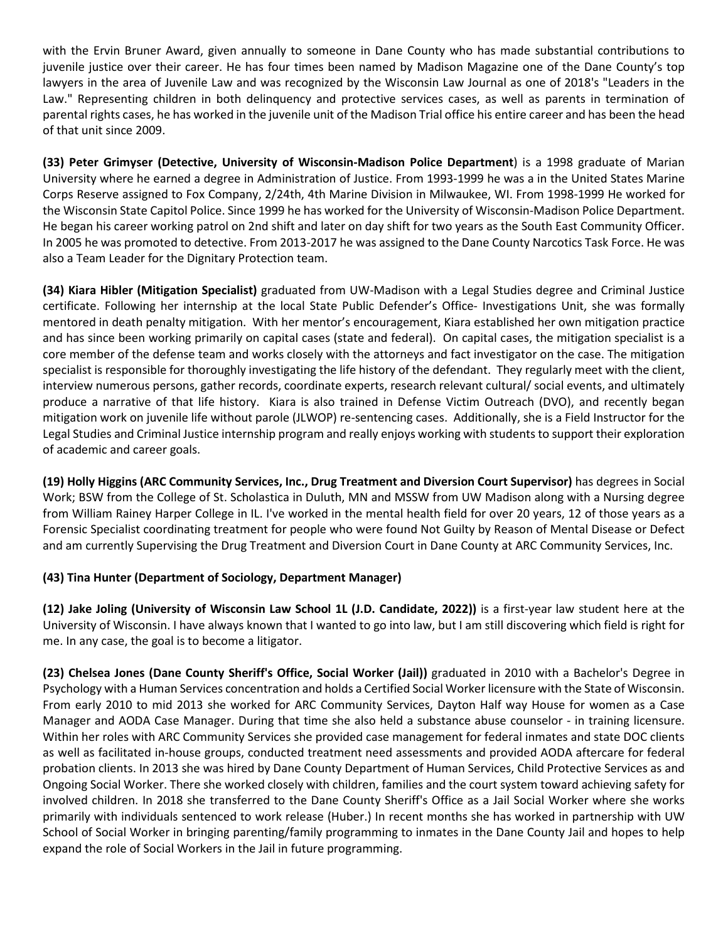with the Ervin Bruner Award, given annually to someone in Dane County who has made substantial contributions to juvenile justice over their career. He has four times been named by Madison Magazine one of the Dane County's top lawyers in the area of Juvenile Law and was recognized by the Wisconsin Law Journal as one of 2018's "Leaders in the Law." Representing children in both delinquency and protective services cases, as well as parents in termination of parental rights cases, he has worked in the juvenile unit of the Madison Trial office his entire career and has been the head of that unit since 2009.

**(33) Peter Grimyser (Detective, University of Wisconsin-Madison Police Department**) is a 1998 graduate of Marian University where he earned a degree in Administration of Justice. From 1993-1999 he was a in the United States Marine Corps Reserve assigned to Fox Company, 2/24th, 4th Marine Division in Milwaukee, WI. From 1998-1999 He worked for the Wisconsin State Capitol Police. Since 1999 he has worked for the University of Wisconsin-Madison Police Department. He began his career working patrol on 2nd shift and later on day shift for two years as the South East Community Officer. In 2005 he was promoted to detective. From 2013-2017 he was assigned to the Dane County Narcotics Task Force. He was also a Team Leader for the Dignitary Protection team.

**(34) Kiara Hibler (Mitigation Specialist)** graduated from UW-Madison with a Legal Studies degree and Criminal Justice certificate. Following her internship at the local State Public Defender's Office- Investigations Unit, she was formally mentored in death penalty mitigation. With her mentor's encouragement, Kiara established her own mitigation practice and has since been working primarily on capital cases (state and federal). On capital cases, the mitigation specialist is a core member of the defense team and works closely with the attorneys and fact investigator on the case. The mitigation specialist is responsible for thoroughly investigating the life history of the defendant. They regularly meet with the client, interview numerous persons, gather records, coordinate experts, research relevant cultural/ social events, and ultimately produce a narrative of that life history. Kiara is also trained in Defense Victim Outreach (DVO), and recently began mitigation work on juvenile life without parole (JLWOP) re-sentencing cases. Additionally, she is a Field Instructor for the Legal Studies and Criminal Justice internship program and really enjoys working with students to support their exploration of academic and career goals.

**(19) Holly Higgins (ARC Community Services, Inc., Drug Treatment and Diversion Court Supervisor)** has degrees in Social Work; BSW from the College of St. Scholastica in Duluth, MN and MSSW from UW Madison along with a Nursing degree from William Rainey Harper College in IL. I've worked in the mental health field for over 20 years, 12 of those years as a Forensic Specialist coordinating treatment for people who were found Not Guilty by Reason of Mental Disease or Defect and am currently Supervising the Drug Treatment and Diversion Court in Dane County at ARC Community Services, Inc.

## **(43) Tina Hunter (Department of Sociology, Department Manager)**

**(12) Jake Joling (University of Wisconsin Law School 1L (J.D. Candidate, 2022))** is a first-year law student here at the University of Wisconsin. I have always known that I wanted to go into law, but I am still discovering which field is right for me. In any case, the goal is to become a litigator.

**(23) Chelsea Jones (Dane County Sheriff's Office, Social Worker (Jail))** graduated in 2010 with a Bachelor's Degree in Psychology with a Human Services concentration and holds a Certified Social Worker licensure with the State of Wisconsin. From early 2010 to mid 2013 she worked for ARC Community Services, Dayton Half way House for women as a Case Manager and AODA Case Manager. During that time she also held a substance abuse counselor - in training licensure. Within her roles with ARC Community Services she provided case management for federal inmates and state DOC clients as well as facilitated in-house groups, conducted treatment need assessments and provided AODA aftercare for federal probation clients. In 2013 she was hired by Dane County Department of Human Services, Child Protective Services as and Ongoing Social Worker. There she worked closely with children, families and the court system toward achieving safety for involved children. In 2018 she transferred to the Dane County Sheriff's Office as a Jail Social Worker where she works primarily with individuals sentenced to work release (Huber.) In recent months she has worked in partnership with UW School of Social Worker in bringing parenting/family programming to inmates in the Dane County Jail and hopes to help expand the role of Social Workers in the Jail in future programming.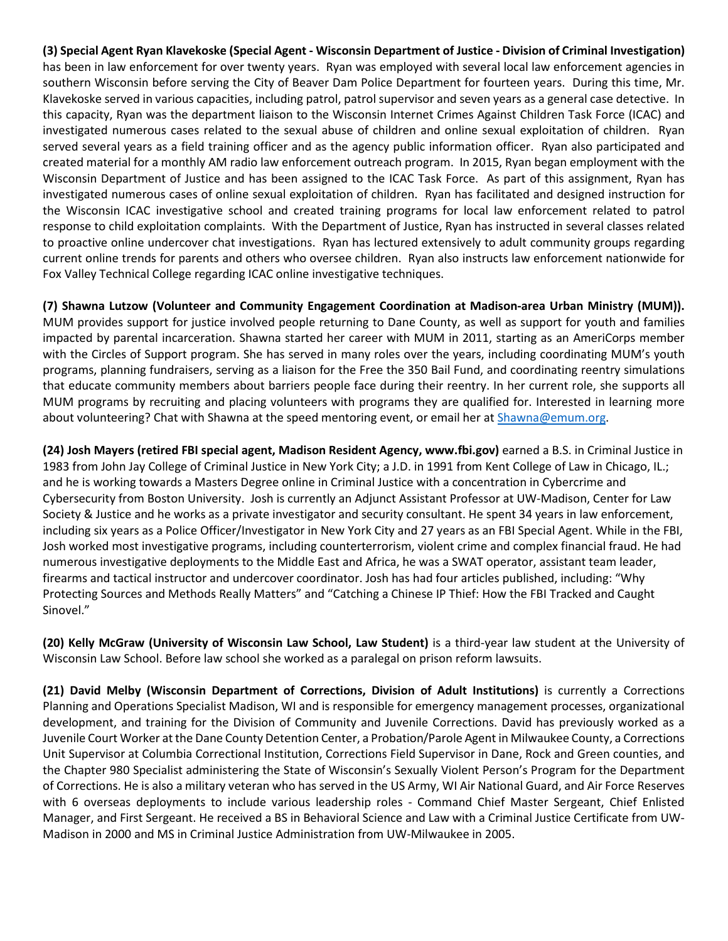**(3) Special Agent Ryan Klavekoske (Special Agent - Wisconsin Department of Justice - Division of Criminal Investigation)** has been in law enforcement for over twenty years. Ryan was employed with several local law enforcement agencies in southern Wisconsin before serving the City of Beaver Dam Police Department for fourteen years. During this time, Mr. Klavekoske served in various capacities, including patrol, patrol supervisor and seven years as a general case detective. In this capacity, Ryan was the department liaison to the Wisconsin Internet Crimes Against Children Task Force (ICAC) and investigated numerous cases related to the sexual abuse of children and online sexual exploitation of children. Ryan served several years as a field training officer and as the agency public information officer. Ryan also participated and created material for a monthly AM radio law enforcement outreach program. In 2015, Ryan began employment with the Wisconsin Department of Justice and has been assigned to the ICAC Task Force. As part of this assignment, Ryan has investigated numerous cases of online sexual exploitation of children. Ryan has facilitated and designed instruction for the Wisconsin ICAC investigative school and created training programs for local law enforcement related to patrol response to child exploitation complaints. With the Department of Justice, Ryan has instructed in several classes related to proactive online undercover chat investigations. Ryan has lectured extensively to adult community groups regarding current online trends for parents and others who oversee children. Ryan also instructs law enforcement nationwide for Fox Valley Technical College regarding ICAC online investigative techniques.

**(7) Shawna Lutzow (Volunteer and Community Engagement Coordination at Madison-area Urban Ministry (MUM)).** MUM provides support for justice involved people returning to Dane County, as well as support for youth and families impacted by parental incarceration. Shawna started her career with MUM in 2011, starting as an AmeriCorps member with the Circles of Support program. She has served in many roles over the years, including coordinating MUM's youth programs, planning fundraisers, serving as a liaison for the Free the 350 Bail Fund, and coordinating reentry simulations that educate community members about barriers people face during their reentry. In her current role, she supports all MUM programs by recruiting and placing volunteers with programs they are qualified for. Interested in learning more about volunteering? Chat with Shawna at the speed mentoring event, or email her at [Shawna@emum.org.](mailto:Shawna@emum.org)

**(24) Josh Mayers (retired FBI special agent, Madison Resident Agency, www.fbi.gov)** earned a B.S. in Criminal Justice in 1983 from John Jay College of Criminal Justice in New York City; a J.D. in 1991 from Kent College of Law in Chicago, IL.; and he is working towards a Masters Degree online in Criminal Justice with a concentration in Cybercrime and Cybersecurity from Boston University. Josh is currently an Adjunct Assistant Professor at UW-Madison, Center for Law Society & Justice and he works as a private investigator and security consultant. He spent 34 years in law enforcement, including six years as a Police Officer/Investigator in New York City and 27 years as an FBI Special Agent. While in the FBI, Josh worked most investigative programs, including counterterrorism, violent crime and complex financial fraud. He had numerous investigative deployments to the Middle East and Africa, he was a SWAT operator, assistant team leader, firearms and tactical instructor and undercover coordinator. Josh has had four articles published, including: "Why Protecting Sources and Methods Really Matters" and "Catching a Chinese IP Thief: How the FBI Tracked and Caught Sinovel."

**(20) Kelly McGraw (University of Wisconsin Law School, Law Student)** is a third-year law student at the University of Wisconsin Law School. Before law school she worked as a paralegal on prison reform lawsuits.

**(21) David Melby (Wisconsin Department of Corrections, Division of Adult Institutions)** is currently a Corrections Planning and Operations Specialist Madison, WI and is responsible for emergency management processes, organizational development, and training for the Division of Community and Juvenile Corrections. David has previously worked as a Juvenile Court Worker at the Dane County Detention Center, a Probation/Parole Agent in Milwaukee County, a Corrections Unit Supervisor at Columbia Correctional Institution, Corrections Field Supervisor in Dane, Rock and Green counties, and the Chapter 980 Specialist administering the State of Wisconsin's Sexually Violent Person's Program for the Department of Corrections. He is also a military veteran who has served in the US Army, WI Air National Guard, and Air Force Reserves with 6 overseas deployments to include various leadership roles - Command Chief Master Sergeant, Chief Enlisted Manager, and First Sergeant. He received a BS in Behavioral Science and Law with a Criminal Justice Certificate from UW-Madison in 2000 and MS in Criminal Justice Administration from UW-Milwaukee in 2005.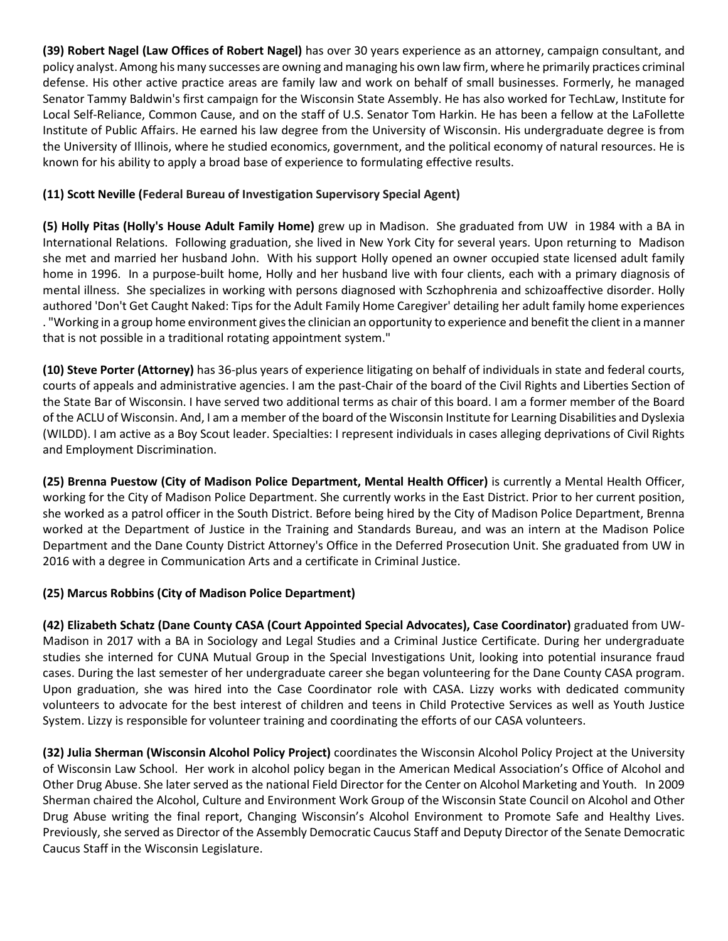**(39) Robert Nagel (Law Offices of Robert Nagel)** has over 30 years experience as an attorney, campaign consultant, and policy analyst. Among his many successes are owning and managing his own law firm, where he primarily practices criminal defense. His other active practice areas are family law and work on behalf of small businesses. Formerly, he managed Senator Tammy Baldwin's first campaign for the Wisconsin State Assembly. He has also worked for TechLaw, Institute for Local Self-Reliance, Common Cause, and on the staff of U.S. Senator Tom Harkin. He has been a fellow at the LaFollette Institute of Public Affairs. He earned his law degree from the University of Wisconsin. His undergraduate degree is from the University of Illinois, where he studied economics, government, and the political economy of natural resources. He is known for his ability to apply a broad base of experience to formulating effective results.

## **(11) Scott Neville (Federal Bureau of Investigation Supervisory Special Agent)**

**(5) Holly Pitas (Holly's House Adult Family Home)** grew up in Madison. She graduated from UW in 1984 with a BA in International Relations. Following graduation, she lived in New York City for several years. Upon returning to Madison she met and married her husband John. With his support Holly opened an owner occupied state licensed adult family home in 1996. In a purpose-built home, Holly and her husband live with four clients, each with a primary diagnosis of mental illness. She specializes in working with persons diagnosed with Sczhophrenia and schizoaffective disorder. Holly authored 'Don't Get Caught Naked: Tips for the Adult Family Home Caregiver' detailing her adult family home experiences . "Working in a group home environment gives the clinician an opportunity to experience and benefit the client in a manner that is not possible in a traditional rotating appointment system."

**(10) Steve Porter (Attorney)** has 36-plus years of experience litigating on behalf of individuals in state and federal courts, courts of appeals and administrative agencies. I am the past-Chair of the board of the Civil Rights and Liberties Section of the State Bar of Wisconsin. I have served two additional terms as chair of this board. I am a former member of the Board of the ACLU of Wisconsin. And, I am a member of the board of the Wisconsin Institute for Learning Disabilities and Dyslexia (WILDD). I am active as a Boy Scout leader. Specialties: I represent individuals in cases alleging deprivations of Civil Rights and Employment Discrimination.

**(25) Brenna Puestow (City of Madison Police Department, Mental Health Officer)** is currently a Mental Health Officer, working for the City of Madison Police Department. She currently works in the East District. Prior to her current position, she worked as a patrol officer in the South District. Before being hired by the City of Madison Police Department, Brenna worked at the Department of Justice in the Training and Standards Bureau, and was an intern at the Madison Police Department and the Dane County District Attorney's Office in the Deferred Prosecution Unit. She graduated from UW in 2016 with a degree in Communication Arts and a certificate in Criminal Justice.

## **(25) Marcus Robbins (City of Madison Police Department)**

**(42) Elizabeth Schatz (Dane County CASA (Court Appointed Special Advocates), Case Coordinator)** graduated from UW-Madison in 2017 with a BA in Sociology and Legal Studies and a Criminal Justice Certificate. During her undergraduate studies she interned for CUNA Mutual Group in the Special Investigations Unit, looking into potential insurance fraud cases. During the last semester of her undergraduate career she began volunteering for the Dane County CASA program. Upon graduation, she was hired into the Case Coordinator role with CASA. Lizzy works with dedicated community volunteers to advocate for the best interest of children and teens in Child Protective Services as well as Youth Justice System. Lizzy is responsible for volunteer training and coordinating the efforts of our CASA volunteers.

**(32) Julia Sherman (Wisconsin Alcohol Policy Project)** coordinates the Wisconsin Alcohol Policy Project at the University of Wisconsin Law School. Her work in alcohol policy began in the American Medical Association's Office of Alcohol and Other Drug Abuse. She later served as the national Field Director for the Center on Alcohol Marketing and Youth. In 2009 Sherman chaired the Alcohol, Culture and Environment Work Group of the Wisconsin State Council on Alcohol and Other Drug Abuse writing the final report, Changing Wisconsin's Alcohol Environment to Promote Safe and Healthy Lives. Previously, she served as Director of the Assembly Democratic Caucus Staff and Deputy Director of the Senate Democratic Caucus Staff in the Wisconsin Legislature.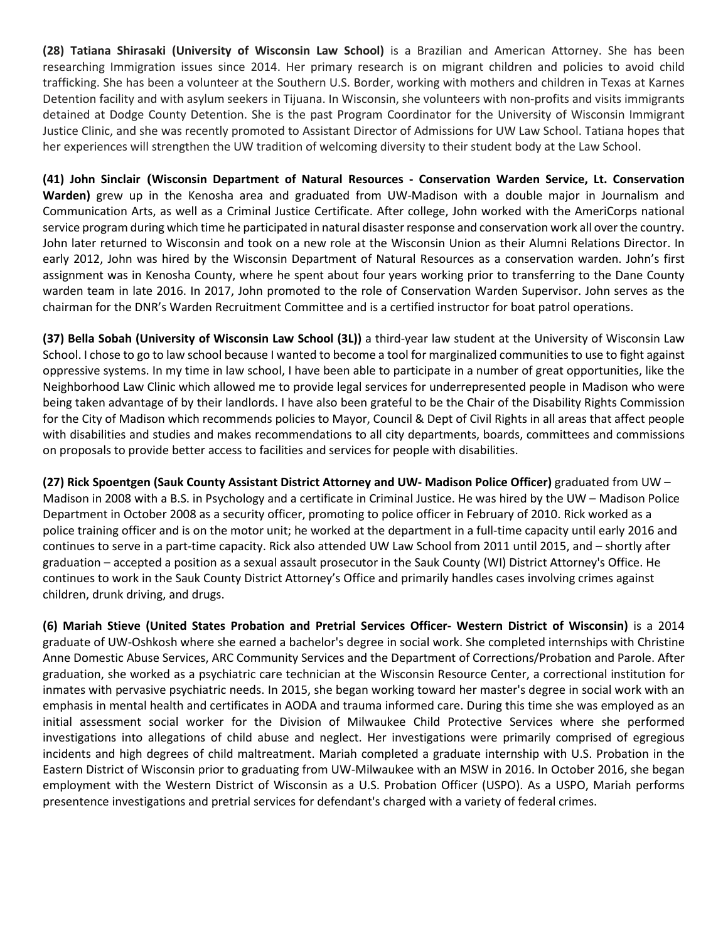**(28) Tatiana Shirasaki (University of Wisconsin Law School)** is a Brazilian and American Attorney. She has been researching Immigration issues since 2014. Her primary research is on migrant children and policies to avoid child trafficking. She has been a volunteer at the Southern U.S. Border, working with mothers and children in Texas at Karnes Detention facility and with asylum seekers in Tijuana. In Wisconsin, she volunteers with non-profits and visits immigrants detained at Dodge County Detention. She is the past Program Coordinator for the University of Wisconsin Immigrant Justice Clinic, and she was recently promoted to Assistant Director of Admissions for UW Law School. Tatiana hopes that her experiences will strengthen the UW tradition of welcoming diversity to their student body at the Law School.

**(41) John Sinclair (Wisconsin Department of Natural Resources - Conservation Warden Service, Lt. Conservation Warden)** grew up in the Kenosha area and graduated from UW-Madison with a double major in Journalism and Communication Arts, as well as a Criminal Justice Certificate. After college, John worked with the AmeriCorps national service program during which time he participated in natural disaster response and conservation work all over the country. John later returned to Wisconsin and took on a new role at the Wisconsin Union as their Alumni Relations Director. In early 2012, John was hired by the Wisconsin Department of Natural Resources as a conservation warden. John's first assignment was in Kenosha County, where he spent about four years working prior to transferring to the Dane County warden team in late 2016. In 2017, John promoted to the role of Conservation Warden Supervisor. John serves as the chairman for the DNR's Warden Recruitment Committee and is a certified instructor for boat patrol operations.

**(37) Bella Sobah (University of Wisconsin Law School (3L))** a third-year law student at the University of Wisconsin Law School. I chose to go to law school because I wanted to become a tool for marginalized communities to use to fight against oppressive systems. In my time in law school, I have been able to participate in a number of great opportunities, like the Neighborhood Law Clinic which allowed me to provide legal services for underrepresented people in Madison who were being taken advantage of by their landlords. I have also been grateful to be the Chair of the Disability Rights Commission for the City of Madison which recommends policies to Mayor, Council & Dept of Civil Rights in all areas that affect people with disabilities and studies and makes recommendations to all city departments, boards, committees and commissions on proposals to provide better access to facilities and services for people with disabilities.

**(27) Rick Spoentgen (Sauk County Assistant District Attorney and UW- Madison Police Officer)** graduated from UW – Madison in 2008 with a B.S. in Psychology and a certificate in Criminal Justice. He was hired by the UW – Madison Police Department in October 2008 as a security officer, promoting to police officer in February of 2010. Rick worked as a police training officer and is on the motor unit; he worked at the department in a full-time capacity until early 2016 and continues to serve in a part-time capacity. Rick also attended UW Law School from 2011 until 2015, and – shortly after graduation – accepted a position as a sexual assault prosecutor in the Sauk County (WI) District Attorney's Office. He continues to work in the Sauk County District Attorney's Office and primarily handles cases involving crimes against children, drunk driving, and drugs.

**(6) Mariah Stieve (United States Probation and Pretrial Services Officer- Western District of Wisconsin)** is a 2014 graduate of UW-Oshkosh where she earned a bachelor's degree in social work. She completed internships with Christine Anne Domestic Abuse Services, ARC Community Services and the Department of Corrections/Probation and Parole. After graduation, she worked as a psychiatric care technician at the Wisconsin Resource Center, a correctional institution for inmates with pervasive psychiatric needs. In 2015, she began working toward her master's degree in social work with an emphasis in mental health and certificates in AODA and trauma informed care. During this time she was employed as an initial assessment social worker for the Division of Milwaukee Child Protective Services where she performed investigations into allegations of child abuse and neglect. Her investigations were primarily comprised of egregious incidents and high degrees of child maltreatment. Mariah completed a graduate internship with U.S. Probation in the Eastern District of Wisconsin prior to graduating from UW-Milwaukee with an MSW in 2016. In October 2016, she began employment with the Western District of Wisconsin as a U.S. Probation Officer (USPO). As a USPO, Mariah performs presentence investigations and pretrial services for defendant's charged with a variety of federal crimes.